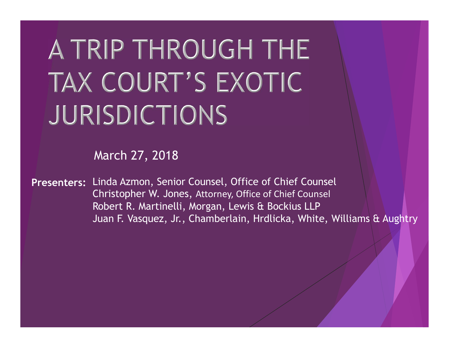# A TRIP THROUGH THE TAX COURT'S EXOTIC JURISDICTIONS

March 27, 2018

Presenters: Linda Azmon, Senior Counsel, Office of Chief Counsel Andrew Maria Christopher W. Jones, Attorney, Office of Chief Counsel Robert R. Martinelli, Morgan, Lewis & Bockius LLP Juan F. Vasquez, Jr., Chamberlain, Hrdlicka, White, Williams & Aughtry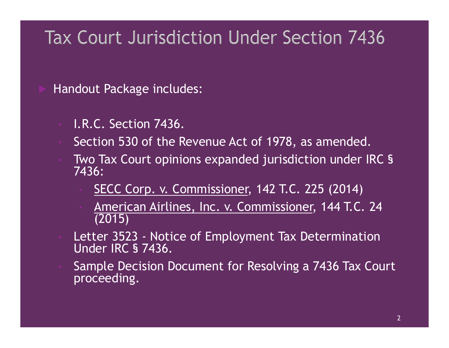# Tax Court Jurisdiction Under Section 7436

Handout Package includes:

- I.R.C. Section 7436.
- Section 530 of the Revenue Act of 1978, as amended.
- Two Tax Court opinions expanded jurisdiction under IRC § 7436: 1.R.C. Section 7436.<br>
• I.R.C. Section 7436.<br>
• Section 530 of the Revenue Act of 1978, as amended.<br>
• Two Tax Court opinions expanded jurisdiction under IRC §<br>
• SECC Corp. v. Commissioner, 142 T.C. 225 (2014)<br>
• <u>America</u>
	- SECC Corp. v. Commissioner, 142 T.C. 225 (2014)
	- American Airlines, Inc. v. Commissioner, 144 T.C. 24 (2015)
- 
- I.R.C. Section 7436.<br>Section 530 of the Revenue Act of 1978, as an<br>Two Tax Court opinions expanded jurisdiction<br>7436:<br><u>SECC Corp. v. Commissioner</u>, 142 T.C. 225<br><u>American Airlines, Inc. v. Commissioner,</u> 1<br>(2015)<br>Letter 35 • Sample Decision Document for Resolving a 7436 Tax Court proceeding.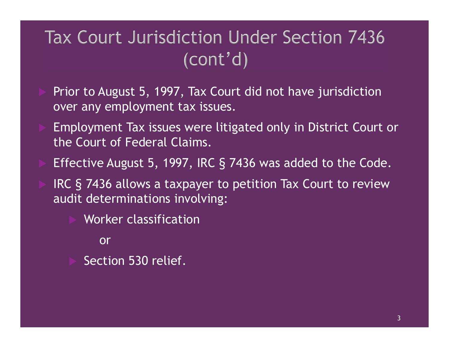# Tax Court Jurisdiction Under Section 7436  $(cont'd)$

- Prior to August 5, 1997, Tax Court did not have jurisdiction over any employment tax issues.
- Employment Tax issues were litigated only in District Court or the Court of Federal Claims.
- Effective August 5, 1997, IRC § 7436 was added to the Code.
- IRC § 7436 allows a taxpayer to petition Tax Court to review audit determinations involving:
	- Worker classification

or

Section 530 relief.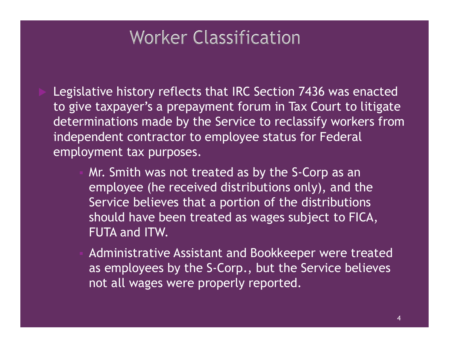# **Worker Classification**

- Legislative history reflects that IRC Section 7436 was enacted to give taxpayer's a prepayment forum in Tax Court to litigate determinations made by the Service to reclassify workers from independent contractor to employee status for Federal employment tax purposes.
	- Mr. Smith was not treated as by the S-Corp as an employee (he received distributions only), and the Service believes that a portion of the distributions should have been treated as wages subject to FICA, FUTA and ITW.
	- Administrative Assistant and Bookkeeper were treated as employees by the S-Corp., but the Service believes not all wages were properly reported.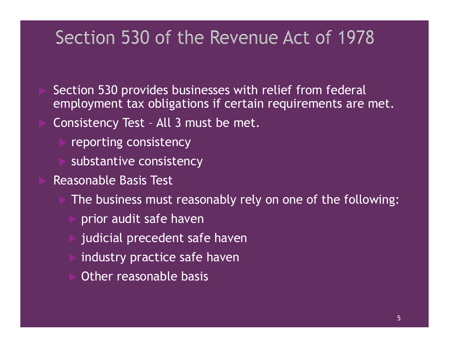Section 530 provides businesses with relief from federal employment tax obligations if certain requirements are met. Section 530 of the Revenue Act of 1<br>Section 530 provides businesses with relief from fecemployment tax obligations if certain requirements<br>Consistency Test - All 3 must be met.<br>Preporting consistency

- reporting consistency
- substantive consistency
- Reasonable Basis Test
	- The business must reasonably rely on one of the following:
		- prior audit safe haven
		- judicial precedent safe haven
	- industry practice safe haven
	- Other reasonable basis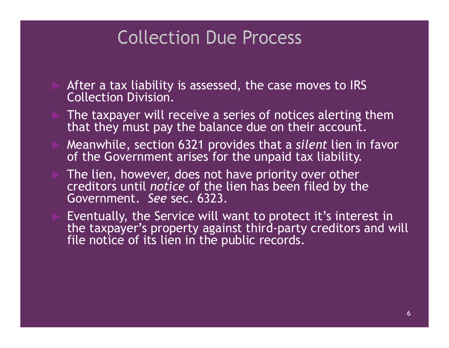# **Collection Due Process**

- After a tax liability is assessed, the case moves to IRS Collection Division.
- The taxpayer will receive a series of notices alerting them that they must pay the balance due on their account.
- Meanwhile, section 6321 provides that a silent lien in favor of the Government arises for the unpaid tax liability.
- The lien, however, does not have priority over other creditors until *notice* of the lien has been filed by the Government. See sec. 6323.
- After a tax liability is assessed, the case moves to IRS<br>
Collection Division.<br>
The taxpayer will receive a series of notices alerting them<br>
that they must pay the balance due on their account.<br>
Meanwhile, section 6321 pr the taxpayer's property against third-party creditors and will file notice of its lien in the public records.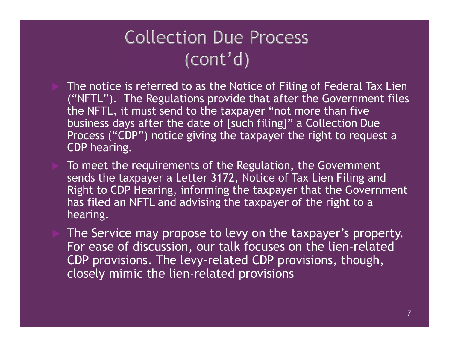- The notice is referred to as the Notice of Filing of Federal Tax Lien ("NFTL"). The Regulations provide that after the Government files the NFTL, it must send to the taxpayer "not more than five business days after the date of [such filing]" a Collection Due Process ("CDP") notice giving the taxpayer the right to request a Collection Due Pro<br>
(cont'd)<br>
The notice is referred to as the Notice of<br>
("NFTL"). The Regulations provide that a<br>
the NFTL, it must send to the taxpayer "<br>
business days after the date of [such filin<br>
Process ("CDP") not  $(COMt'd)$ <br>The notice is referred to as the Notice of Filing of Federal Tax Lien<br>("NFTL"). The Regulations provide that after the Government files<br>the NFTL, it must send to the taxpayer "not more than five<br>business days afte ( $\text{COML}^{\dagger} \text{G}$ )<br>The notice is referred to as the Notice of Filing of Federal Tax Lien<br>("NFTL"). The Regulations provide that after the Government files<br>the NFTL, it must send to the taxpayer "not more than five<br>busin
- To meet the requirements of the Regulation, the Government sends the taxpayer a Letter 3172, Notice of Tax Lien Filing and hearing. business days after the date of [such filing]" a Collection Due<br>Process ("CDP") notice giving the taxpayer the right to request a<br>CDP hearing.<br>To meet the requirements of the Regulation, the Government<br>sends the taxpayer a
- The Service may propose to levy on the taxpayer's property. For ease of discussion, our talk focuses on the lien-related closely mimic the lien-related provisions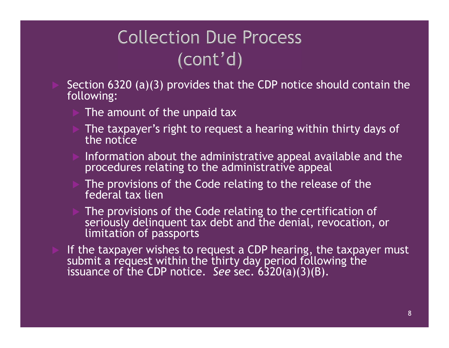- Collection Due Process<br>
(cont'd)<br>
 Section 6320 (a)(3) provides that the CDP notice should contain the<br>
 The amount of the unpaid tax following:
	- The amount of the unpaid tax
	- The taxpayer's right to request a hearing within thirty days of the notice
	- Information about the administrative appeal available and the procedures relating to the administrative appeal
	- The provisions of the Code relating to the release of the federal tax lien
	- The provisions of the Code relating to the certification of seriously delinquent tax debt and the denial, revocation, or limitation of passports
- <p>▶ The amount of the unpaid tax</p>\n<p>▶ The taxpayer's right to request a hearing within thirty days of the notice</p>\n<p>▶ Information about the administrative appeal available and the procedures relating to the administrative appeal</p>\n<p>▶ The provisions of the Code relating to the release of the federal tax line</p>\n<p>▶ The provisions of the Code relating to the certification of seriously delinquent tax debt and the denial, revocation, or limitation of passwords to request a GDP hearing, the taxpayer must submit a request without a request without a request with the third day period following the distance of the CDP notice. See sec. <math display="inline">6320(a)(3)(8)</math>.</p> submit a request within the thirty day period following the For the taxpayer's right to request a hearing within thirty days complement the notice.<br>
Information about the administrative appeal available and the procedures relating to the administrative appeal.<br>
The provisions of t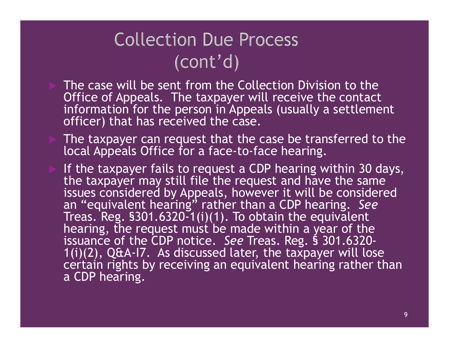- The case will be sent from the Collection Division to the Office of Appeals. The taxpayer will receive the contact information for the person in Appeals (usually a settlement officer) that has received the case. Collection Due Process<br>
(cont'd)<br>
The case will be sent from the Collection Division to the<br>
Office of Appeals. The taxpayer will receive the contact<br>
information for the person in Appeals (usually a settlement<br>
officer) t
	- The taxpayer can request that the case be transferred to the local Appeals Office for a face-to-face hearing.
	- the taxpayer may still file the request and have the same issues considered by Appeals, however it will be considered (CONU^CI)<br>The case will be sent from the Collection Division to the<br>Office of Appeals. The taxpayer will receive the contact<br>information for the person in Appeals (usually a settlement<br>officer) that has received the case. Treas. Reg.  $$301.6320-1(i)(1)$ . To obtain the equivalent hearing, the request must be made within a year of the issuance of the CDP notice. See Treas. Reg. § 301.6320-Uffice of Appeals. The taxpayer will receive the contact<br>information for the person in Appeals (usually a settlement<br>officer) that has received the case.<br>The taxpayer can request that the case be transferred to the<br>local A  $1(i)(2)$ , Q&A-I7. As discussed later, the taxpayer will lose certain rights by receiving an equivalent hearing rather than<br>a CDP hearing. The taxpayer can request that the case<br>local Appeals Office for a face-to-face  $\overline{B}$ <br>If the taxpayer fails to request a CDP he<br>the taxpayer may still file the request a<br>issues considered by Appeals, however i<br>an "equiva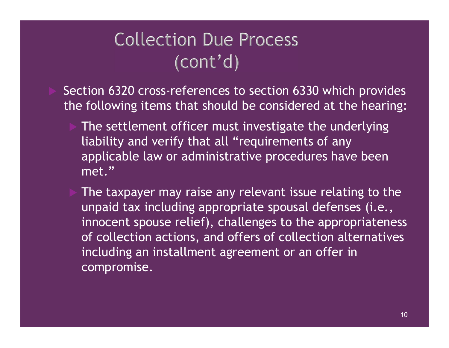# **Collection Due Process**  $(cont'd)$

 Section 6320 cross-references to section 6330 which provides the following items that should be considered at the hearing:

- The settlement officer must investigate the underlying liability and verify that all "requirements of any applicable law or administrative procedures have been met."
- The taxpayer may raise any relevant issue relating to the unpaid tax including appropriate spousal defenses (i.e., innocent spouse relief), challenges to the appropriateness of collection actions, and offers of collection alternatives including an installment agreement or an offer in compromise.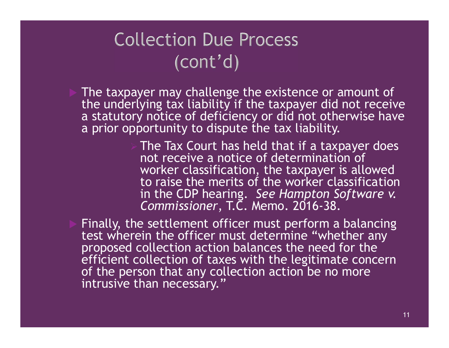# **Collection Due Process**

- The taxpayer may challenge the existence or amount of the underlying tax liability if the taxpayer did not receive a statutory notice of deficiency or did not otherwise have a prior opportunity to dispute the tax liability.
- The Tax Court has held that if a taxpayer does not receive a notice of determination of worker classification, the taxpayer is allowed to raise the merits of the worker classification<br>in the CDP hearing. See Hampton Software v. (CONT'd)<br>
yer may challenge the existence or amount of<br>
ying tax liability if the taxpayer did not receive<br>
the control of deficiency or did not otherwise have<br>
bortunity to dispute the tax liability.<br>
The Tax Court has he Commissioner, T.C. Memo. 2016-38.
- Finally, the settlement officer must perform a balancing test wherein the officer must determine "whether any proposed collection action balances the need for the efficient collection of taxes with the legitimate concern of the person that any collection action be no more intrusive than necessary."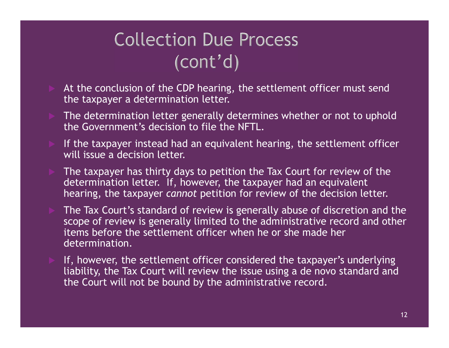# $\text{Collection Due Process}$ <br>  $(\text{Cont'}\text{d})$ <br>
At the conclusion of the CDP hearing, the settlement officer must send<br>  $\text{the taxpayer a determination letter.}$ <br>
The determination letter generally determines whether or not to uphold<br>
the Government's decision to file th

- the taxpayer a determination letter.
- The determination letter generally determines whether or not to uphold the Government's decision to file the NFTL.
- If the taxpayer instead had an equivalent hearing, the settlement officer will issue a decision letter.
- The taxpayer has thirty days to petition the Tax Court for review of the determination letter. If, however, the taxpayer had an equivalent hearing, the taxpayer cannot petition for review of the decision letter.
- The Tax Court's standard of review is generally abuse of discretion and the scope of review is generally limited to the administrative record and other items before the settlement officer when he or she made her determination.
- If, however, the settlement officer considered the taxpayer's underlying liability, the Tax Court will review the issue using a de novo standard and the Court will not be bound by the administrative record.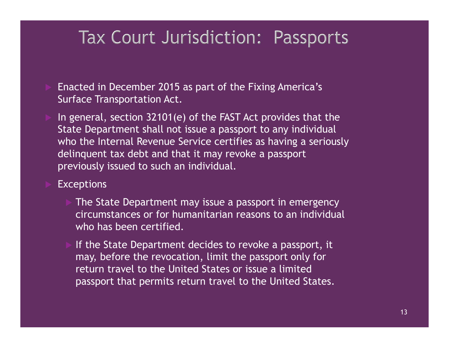# Tax Court Jurisdiction: Passports

- Enacted in December 2015 as part of the Fixing America's Surface Transportation Act.
- In general, section 32101(e) of the FAST Act provides that the State Department shall not issue a passport to any individual who the Internal Revenue Service certifies as having a seriously delinquent tax debt and that it may revoke a passport previously issued to such an individual.

### **Exceptions**

- The State Department may issue a passport in emergency circumstances or for humanitarian reasons to an individual who has been certified.
- If the State Department decides to revoke a passport, it may, before the revocation, limit the passport only for return travel to the United States or issue a limited passport that permits return travel to the United States.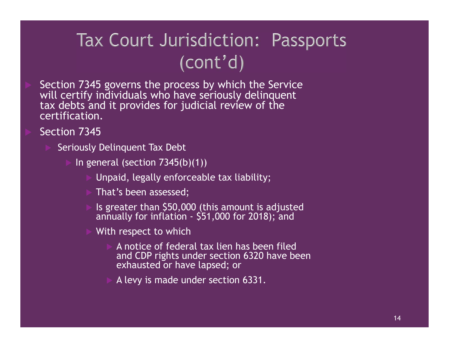# Tax Court Jurisdiction: Passports

- Section 7345 governs the process by which the Service will certify individuals who have seriously delinquent tax debts and it provides for judicial review of the certification. 345 governs the process by which the Service<br>
is individuals who have seriously delinquent<br>
and it provides for judicial review of the<br>
ion.<br>
345<br>
Siy Delinquent Tax Debt<br>
general (section 7345(b)(1))<br>
<br>
Ille Unpaid, lega
- Section 7345
	- Seriously Delinquent Tax Debt
		- In general (section 7345(b)(1))
			- Unpaid, legally enforceable tax liability;
			- That's been assessed;
			-
			- With respect to which
- A notice of federal tax lien has been filed pression of grandial resident of the line<br>nquent Tax Debt<br>is (section 7345(b)(1))<br>id, legally enforceable tax liability;<br>'s been assessed;<br>eater than \$50,000 (this amount is adjusted<br>ally for inflation - \$51,000 for 2018); and CDP rights under section 6320 have been<br>exhausted or have lapsed; or
	- A levy is made under section 6331.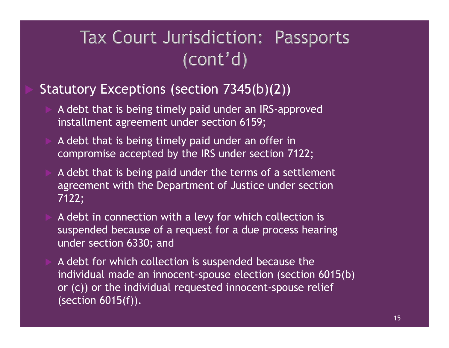### Statutory Exceptions (section 7345(b)(2))

- A debt that is being timely paid under an IRS-approved installment agreement under section 6159;
- A debt that is being timely paid under an offer in compromise accepted by the IRS under section 7122;
- A debt that is being paid under the terms of a settlement agreement with the Department of Justice under section 7122;
- A debt in connection with a levy for which collection is suspended because of a request for a due process hearing under section 6330; and
- A debt for which collection is suspended because the individual made an innocent-spouse election (section 6015(b) or (c)) or the individual requested innocent-spouse relief (section 6015(f)).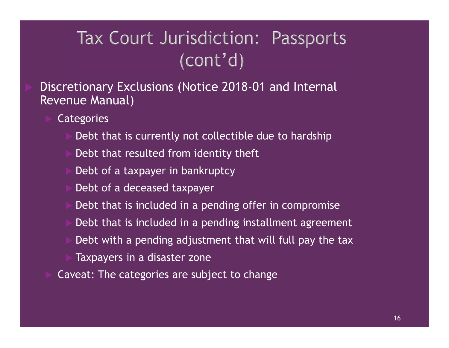Discretionary Exclusions (Notice 2018-01 and Internal Revenue Manual)

- **Categories** 
	- Debt that is currently not collectible due to hardship
	- Debt that resulted from identity theft
	- Debt of a taxpayer in bankruptcy
	- Debt of a deceased taxpayer
	- Debt that is included in a pending offer in compromise
	- Debt that is included in a pending installment agreement
	- Debt with a pending adjustment that will full pay the tax
	- Taxpayers in a disaster zone
- Caveat: The categories are subject to change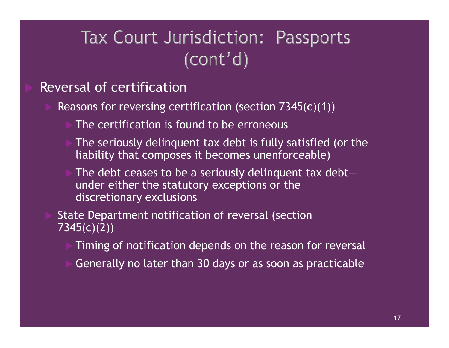## Reversal of certification

- Reasons for reversing certification (section 7345(c)(1))
	- The certification is found to be erroneous
	- The seriously delinquent tax debt is fully satisfied (or the liability that composes it becomes unenforceable)
	- The debt ceases to be a seriously delinquent tax debt under either the statutory exceptions or the discretionary exclusions
- State Department notification of reversal (section 7345(c)(2))
	- Timing of notification depends on the reason for reversal
	- Generally no later than 30 days or as soon as practicable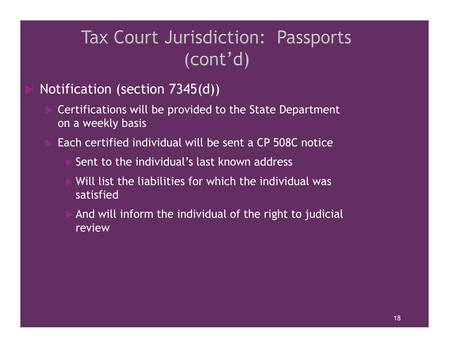# Tax Court Jurisdiction: Passports<br>
(cont'd)<br>
Notification (section 7345(d))<br>
Ectifications will be provided to the State Department<br>
on a weekly basis<br>
Each certified individual will be sent a CP 508C notice<br>
Sent to the i

## Notification (section 7345(d))

- Certifications will be provided to the State Department on a weekly basis
- - Sent to the individual's last known address
	- Will list the liabilities for which the individual was satisfied
	- And will inform the individual of the right to judicial review